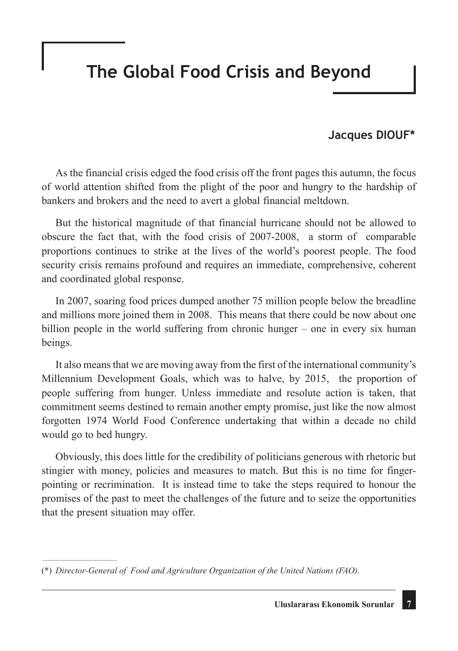## **The Global Food Crisis and Beyond**

## **Jacques DIOUF\***

As the financial crisis edged the food crisis off the front pages this autumn, the focus of world attention shifted from the plight of the poor and hungry to the hardship of bankers and brokers and the need to avert a global financial meltdown.

But the historical magnitude of that financial hurricane should not be allowed to obscure the fact that, with the food crisis of 2007-2008, a storm of comparable proportions continues to strike at the lives of the world's poorest people. The food security crisis remains profound and requires an immediate, comprehensive, coherent and coordinated global response.

In 2007, soaring food prices dumped another 75 million people below the breadline and millions more joined them in 2008. This means that there could be now about one billion people in the world suffering from chronic hunger – one in every six human beings.

It also means that we are moving away from the first of the international community's Millennium Development Goals, which was to halve, by 2015, the proportion of people suffering from hunger. Unless immediate and resolute action is taken, that commitment seems destined to remain another empty promise, just like the now almost forgotten 1974 World Food Conference undertaking that within a decade no child would go to bed hungry.

Obviously, this does little for the credibility of politicians generous with rhetoric but stingier with money, policies and measures to match. But this is no time for fingerpointing or recrimination. It is instead time to take the steps required to honour the promises of the past to meet the challenges of the future and to seize the opportunities that the present situation may offer.

 $\mathcal{L}$  and  $\mathcal{L}$  are the set of the set of the set of the set of the set of the set of the set of the set of the set of the set of the set of the set of the set of the set of the set of the set of the set of the set

<sup>(\*)</sup> *Director-General of Food and Agriculture Organization of the United Nations (FAO).*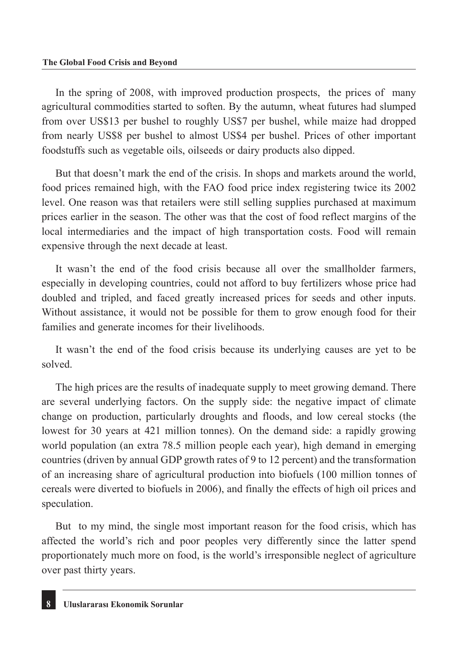In the spring of 2008, with improved production prospects, the prices of many agricultural commodities started to soften. By the autumn, wheat futures had slumped from over US\$13 per bushel to roughly US\$7 per bushel, while maize had dropped from nearly US\$8 per bushel to almost US\$4 per bushel. Prices of other important foodstuffs such as vegetable oils, oilseeds or dairy products also dipped.

But that doesn't mark the end of the crisis. In shops and markets around the world, food prices remained high, with the FAO food price index registering twice its 2002 level. One reason was that retailers were still selling supplies purchased at maximum prices earlier in the season. The other was that the cost of food reflect margins of the local intermediaries and the impact of high transportation costs. Food will remain expensive through the next decade at least.

It wasn't the end of the food crisis because all over the smallholder farmers, especially in developing countries, could not afford to buy fertilizers whose price had doubled and tripled, and faced greatly increased prices for seeds and other inputs. Without assistance, it would not be possible for them to grow enough food for their families and generate incomes for their livelihoods.

It wasn't the end of the food crisis because its underlying causes are yet to be solved.

The high prices are the results of inadequate supply to meet growing demand. There are several underlying factors. On the supply side: the negative impact of climate change on production, particularly droughts and floods, and low cereal stocks (the lowest for 30 years at 421 million tonnes). On the demand side: a rapidly growing world population (an extra 78.5 million people each year), high demand in emerging countries (driven by annual GDP growth rates of 9 to 12 percent) and the transformation of an increasing share of agricultural production into biofuels (100 million tonnes of cereals were diverted to biofuels in 2006), and finally the effects of high oil prices and speculation.

But to my mind, the single most important reason for the food crisis, which has affected the world's rich and poor peoples very differently since the latter spend proportionately much more on food, is the world's irresponsible neglect of agriculture over past thirty years.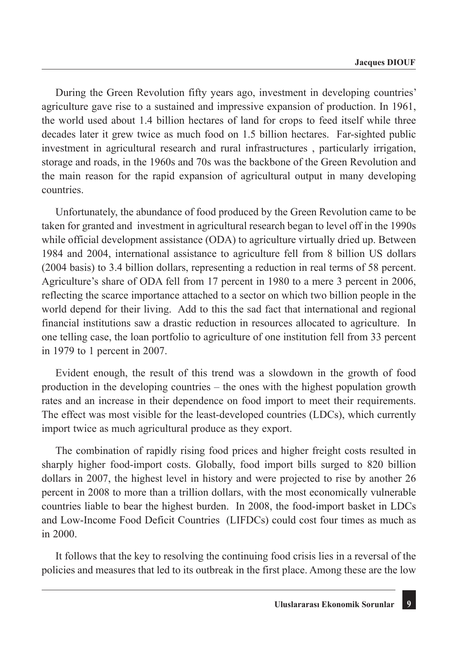During the Green Revolution fifty years ago, investment in developing countries' agriculture gave rise to a sustained and impressive expansion of production. In 1961, the world used about 1.4 billion hectares of land for crops to feed itself while three decades later it grew twice as much food on 1.5 billion hectares. Far-sighted public investment in agricultural research and rural infrastructures , particularly irrigation, storage and roads, in the 1960s and 70s was the backbone of the Green Revolution and the main reason for the rapid expansion of agricultural output in many developing countries.

Unfortunately, the abundance of food produced by the Green Revolution came to be taken for granted and investment in agricultural research began to level off in the 1990s while official development assistance (ODA) to agriculture virtually dried up. Between 1984 and 2004, international assistance to agriculture fell from 8 billion US dollars (2004 basis) to 3.4 billion dollars, representing a reduction in real terms of 58 percent. Agriculture's share of ODA fell from 17 percent in 1980 to a mere 3 percent in 2006, reflecting the scarce importance attached to a sector on which two billion people in the world depend for their living. Add to this the sad fact that international and regional financial institutions saw a drastic reduction in resources allocated to agriculture. In one telling case, the loan portfolio to agriculture of one institution fell from 33 percent in 1979 to 1 percent in 2007.

Evident enough, the result of this trend was a slowdown in the growth of food production in the developing countries – the ones with the highest population growth rates and an increase in their dependence on food import to meet their requirements. The effect was most visible for the least-developed countries (LDCs), which currently import twice as much agricultural produce as they export.

The combination of rapidly rising food prices and higher freight costs resulted in sharply higher food-import costs. Globally, food import bills surged to 820 billion dollars in 2007, the highest level in history and were projected to rise by another 26 percent in 2008 to more than a trillion dollars, with the most economically vulnerable countries liable to bear the highest burden. In 2008, the food-import basket in LDCs and Low-Income Food Deficit Countries (LIFDCs) could cost four times as much as in 2000.

It follows that the key to resolving the continuing food crisis lies in a reversal of the policies and measures that led to its outbreak in the first place. Among these are the low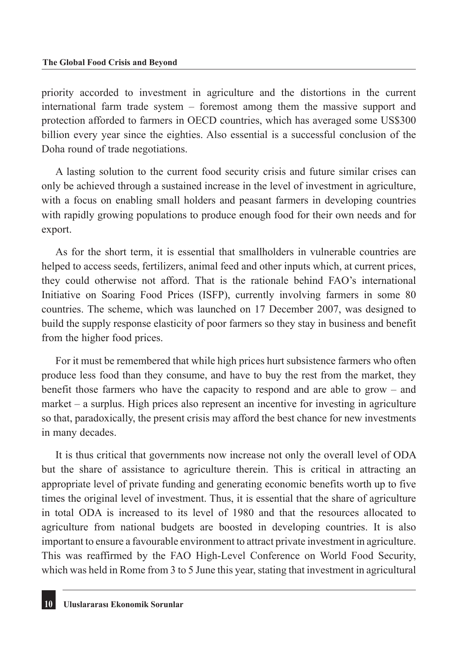priority accorded to investment in agriculture and the distortions in the current international farm trade system – foremost among them the massive support and protection afforded to farmers in OECD countries, which has averaged some US\$300 billion every year since the eighties. Also essential is a successful conclusion of the Doha round of trade negotiations.

A lasting solution to the current food security crisis and future similar crises can only be achieved through a sustained increase in the level of investment in agriculture, with a focus on enabling small holders and peasant farmers in developing countries with rapidly growing populations to produce enough food for their own needs and for export.

As for the short term, it is essential that smallholders in vulnerable countries are helped to access seeds, fertilizers, animal feed and other inputs which, at current prices, they could otherwise not afford. That is the rationale behind FAO's international Initiative on Soaring Food Prices (ISFP), currently involving farmers in some 80 countries. The scheme, which was launched on 17 December 2007, was designed to build the supply response elasticity of poor farmers so they stay in business and benefit from the higher food prices.

For it must be remembered that while high prices hurt subsistence farmers who often produce less food than they consume, and have to buy the rest from the market, they benefit those farmers who have the capacity to respond and are able to grow – and market – a surplus. High prices also represent an incentive for investing in agriculture so that, paradoxically, the present crisis may afford the best chance for new investments in many decades.

It is thus critical that governments now increase not only the overall level of ODA but the share of assistance to agriculture therein. This is critical in attracting an appropriate level of private funding and generating economic benefits worth up to five times the original level of investment. Thus, it is essential that the share of agriculture in total ODA is increased to its level of 1980 and that the resources allocated to agriculture from national budgets are boosted in developing countries. It is also important to ensure a favourable environment to attract private investment in agriculture. This was reaffirmed by the FAO High-Level Conference on World Food Security, which was held in Rome from 3 to 5 June this year, stating that investment in agricultural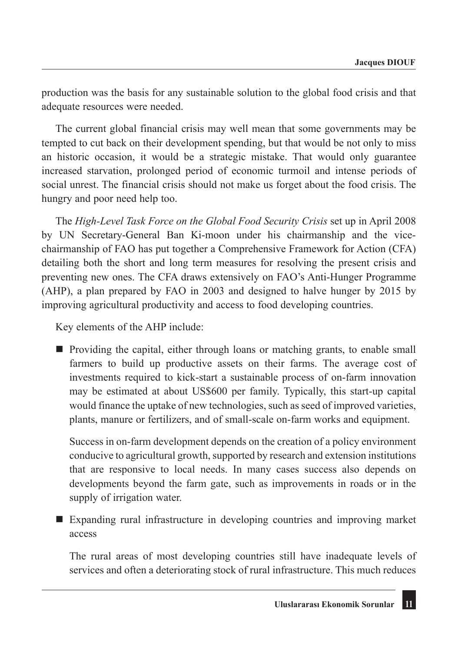production was the basis for any sustainable solution to the global food crisis and that adequate resources were needed.

The current global financial crisis may well mean that some governments may be tempted to cut back on their development spending, but that would be not only to miss an historic occasion, it would be a strategic mistake. That would only guarantee increased starvation, prolonged period of economic turmoil and intense periods of social unrest. The financial crisis should not make us forget about the food crisis. The hungry and poor need help too.

The *High-Level Task Force on the Global Food Security Crisis* set up in April 2008 by UN Secretary-General Ban Ki-moon under his chairmanship and the vicechairmanship of FAO has put together a Comprehensive Framework for Action (CFA) detailing both the short and long term measures for resolving the present crisis and preventing new ones. The CFA draws extensively on FAO's Anti-Hunger Programme (AHP), a plan prepared by FAO in 2003 and designed to halve hunger by 2015 by improving agricultural productivity and access to food developing countries.

Key elements of the AHP include:

 Providing the capital, either through loans or matching grants, to enable small farmers to build up productive assets on their farms. The average cost of investments required to kick-start a sustainable process of on-farm innovation may be estimated at about US\$600 per family. Typically, this start-up capital would finance the uptake of new technologies, such as seed of improved varieties, plants, manure or fertilizers, and of small-scale on-farm works and equipment.

Success in on-farm development depends on the creation of a policy environment conducive to agricultural growth, supported by research and extension institutions that are responsive to local needs. In many cases success also depends on developments beyond the farm gate, such as improvements in roads or in the supply of irrigation water.

 Expanding rural infrastructure in developing countries and improving market access

The rural areas of most developing countries still have inadequate levels of services and often a deteriorating stock of rural infrastructure. This much reduces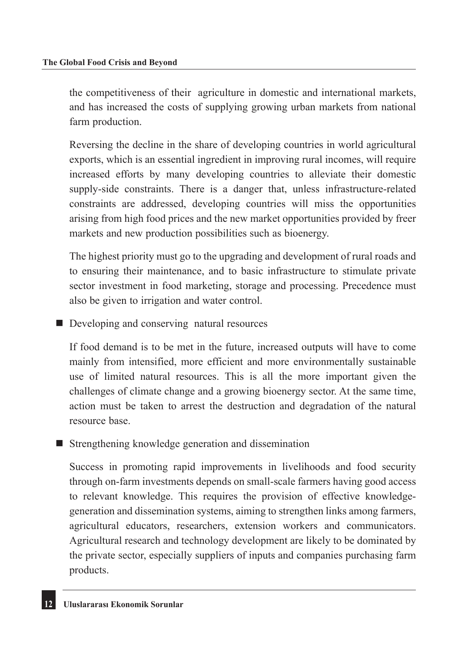the competitiveness of their agriculture in domestic and international markets, and has increased the costs of supplying growing urban markets from national farm production.

Reversing the decline in the share of developing countries in world agricultural exports, which is an essential ingredient in improving rural incomes, will require increased efforts by many developing countries to alleviate their domestic supply-side constraints. There is a danger that, unless infrastructure-related constraints are addressed, developing countries will miss the opportunities arising from high food prices and the new market opportunities provided by freer markets and new production possibilities such as bioenergy.

The highest priority must go to the upgrading and development of rural roads and to ensuring their maintenance, and to basic infrastructure to stimulate private sector investment in food marketing, storage and processing. Precedence must also be given to irrigation and water control.

Developing and conserving natural resources

If food demand is to be met in the future, increased outputs will have to come mainly from intensified, more efficient and more environmentally sustainable use of limited natural resources. This is all the more important given the challenges of climate change and a growing bioenergy sector. At the same time, action must be taken to arrest the destruction and degradation of the natural resource base.

■ Strengthening knowledge generation and dissemination

Success in promoting rapid improvements in livelihoods and food security through on-farm investments depends on small-scale farmers having good access to relevant knowledge. This requires the provision of effective knowledgegeneration and dissemination systems, aiming to strengthen links among farmers, agricultural educators, researchers, extension workers and communicators. Agricultural research and technology development are likely to be dominated by the private sector, especially suppliers of inputs and companies purchasing farm products.